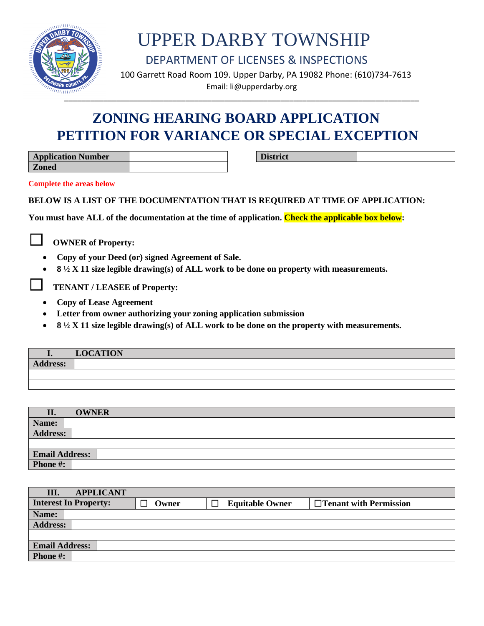

DEPARTMENT OF LICENSES & INSPECTIONS

 100 Garrett Road Room 109. Upper Darby, PA 19082 Phone: (610)734-7613 Email: li@upperdarby.org

### **ZONING HEARING BOARD APPLICATION PETITION FOR VARIANCE OR SPECIAL EXCEPTION**

| <b>Application Number</b> |  |
|---------------------------|--|
| <b>Zoned</b>              |  |

**District**

**Complete the areas below**

#### **BELOW IS A LIST OF THE DOCUMENTATION THAT IS REQUIRED AT TIME OF APPLICATION:**

**You must have ALL of the documentation at the time of application. Check the applicable box below:**

☐ **OWNER of Property:**

- **Copy of your Deed (or) signed Agreement of Sale.**
- **8 ½ X 11 size legible drawing(s) of ALL work to be done on property with measurements.**

☐ **TENANT / LEASEE of Property:**

- **Copy of Lease Agreement**
- **Letter from owner authorizing your zoning application submission**
- **8 ½ X 11 size legible drawing(s) of ALL work to be done on the property with measurements.**

|          | <b>LOCATION</b> |
|----------|-----------------|
| Address: |                 |
|          |                 |
|          |                 |

| II.                   | <b>OWNER</b> |
|-----------------------|--------------|
| Name:                 |              |
| <b>Address:</b>       |              |
|                       |              |
| <b>Email Address:</b> |              |
| Phone #:              |              |

| III.<br><b>APPLICANT</b>     |       |                        |                               |  |
|------------------------------|-------|------------------------|-------------------------------|--|
| <b>Interest In Property:</b> | Owner | <b>Equitable Owner</b> | $\Box$ Tenant with Permission |  |
| Name:                        |       |                        |                               |  |
| <b>Address:</b>              |       |                        |                               |  |
|                              |       |                        |                               |  |
| <b>Email Address:</b>        |       |                        |                               |  |
| <b>Phone #:</b>              |       |                        |                               |  |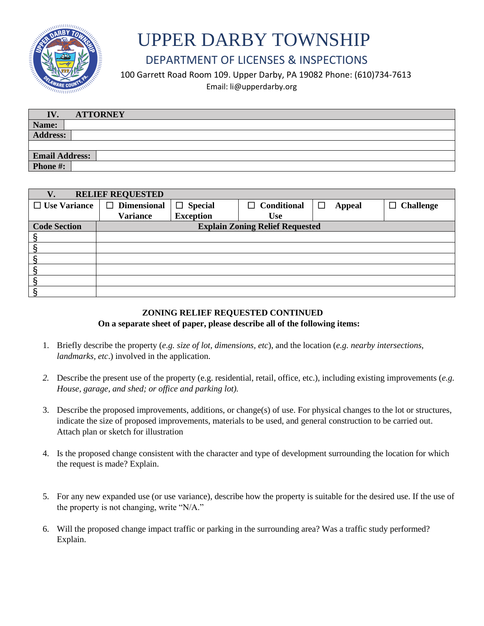

#### DEPARTMENT OF LICENSES & INSPECTIONS

100 Garrett Road Room 109. Upper Darby, PA 19082 Phone: (610)734-7613

Email: li@upperdarby.org

| <b>ATTORNEY</b><br>IV. |  |
|------------------------|--|
| Name:                  |  |
| <b>Address:</b>        |  |
|                        |  |
| <b>Email Address:</b>  |  |
| Phone #:               |  |

| <b>RELIEF REQUESTED</b><br>V. |                                        |                  |                    |                    |                  |
|-------------------------------|----------------------------------------|------------------|--------------------|--------------------|------------------|
| $\Box$ Use Variance           | $\Box$ Dimensional                     | $\Box$ Special   | $\Box$ Conditional | □<br><b>Appeal</b> | <b>Challenge</b> |
|                               | <b>Variance</b>                        | <b>Exception</b> | <b>Use</b>         |                    |                  |
| <b>Code Section</b>           | <b>Explain Zoning Relief Requested</b> |                  |                    |                    |                  |
|                               |                                        |                  |                    |                    |                  |
|                               |                                        |                  |                    |                    |                  |
|                               |                                        |                  |                    |                    |                  |
|                               |                                        |                  |                    |                    |                  |
|                               |                                        |                  |                    |                    |                  |
|                               |                                        |                  |                    |                    |                  |

#### **ZONING RELIEF REQUESTED CONTINUED On a separate sheet of paper, please describe all of the following items:**

- 1. Briefly describe the property (*e.g. size of lot, dimensions, etc*), and the location (*e.g. nearby intersections, landmarks, etc*.) involved in the application.
- *2.* Describe the present use of the property (e.g. residential, retail, office, etc.), including existing improvements (*e.g. House, garage, and shed; or office and parking lot).*
- 3. Describe the proposed improvements, additions, or change(s) of use. For physical changes to the lot or structures, indicate the size of proposed improvements, materials to be used, and general construction to be carried out. Attach plan or sketch for illustration
- 4. Is the proposed change consistent with the character and type of development surrounding the location for which the request is made? Explain.
- 5. For any new expanded use (or use variance), describe how the property is suitable for the desired use. If the use of the property is not changing, write "N/A."
- 6. Will the proposed change impact traffic or parking in the surrounding area? Was a traffic study performed? Explain.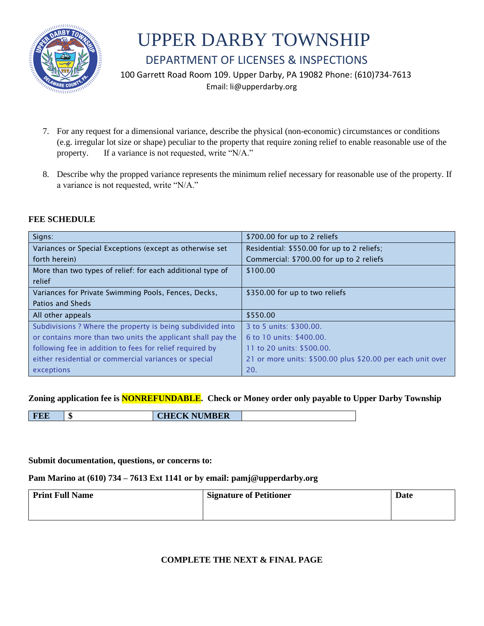

#### DEPARTMENT OF LICENSES & INSPECTIONS

100 Garrett Road Room 109. Upper Darby, PA 19082 Phone: (610)734-7613

Email: li@upperdarby.org

- 7. For any request for a dimensional variance, describe the physical (non-economic) circumstances or conditions (e.g. irregular lot size or shape) peculiar to the property that require zoning relief to enable reasonable use of the property. If a variance is not requested, write "N/A."
- 8. Describe why the propped variance represents the minimum relief necessary for reasonable use of the property. If a variance is not requested, write "N/A."

#### **FEE SCHEDULE**

| Signs:                                                      | \$700.00 for up to 2 reliefs                               |
|-------------------------------------------------------------|------------------------------------------------------------|
| Variances or Special Exceptions (except as otherwise set    | Residential: \$550.00 for up to 2 reliefs;                 |
| forth herein)                                               | Commercial: \$700.00 for up to 2 reliefs                   |
| More than two types of relief: for each additional type of  | \$100.00                                                   |
| relief                                                      |                                                            |
| Variances for Private Swimming Pools, Fences, Decks,        | \$350.00 for up to two reliefs                             |
| Patios and Sheds                                            |                                                            |
| All other appeals                                           | \$550.00                                                   |
| Subdivisions ? Where the property is being subdivided into  | 3 to 5 units: \$300.00.                                    |
| or contains more than two units the applicant shall pay the | 6 to 10 units: \$400.00.                                   |
| following fee in addition to fees for relief required by    | 11 to 20 units: \$500.00.                                  |
| either residential or commercial variances or special       | 21 or more units: \$500.00 plus \$20.00 per each unit over |
| exceptions                                                  | 20.                                                        |

#### **Zoning application fee is NONREFUNDABLE. Check or Money order only payable to Upper Darby Township**

**FEE \$ CHECK NUMBER**

#### **Submit documentation, questions, or concerns to:**

#### **Pam Marino at (610) 734 – 7613 Ext 1141 or by email: pamj@upperdarby.org**

| <b>Print Full Name</b> | <b>Signature of Petitioner</b> | Date |
|------------------------|--------------------------------|------|
|                        |                                |      |

#### **COMPLETE THE NEXT & FINAL PAGE**